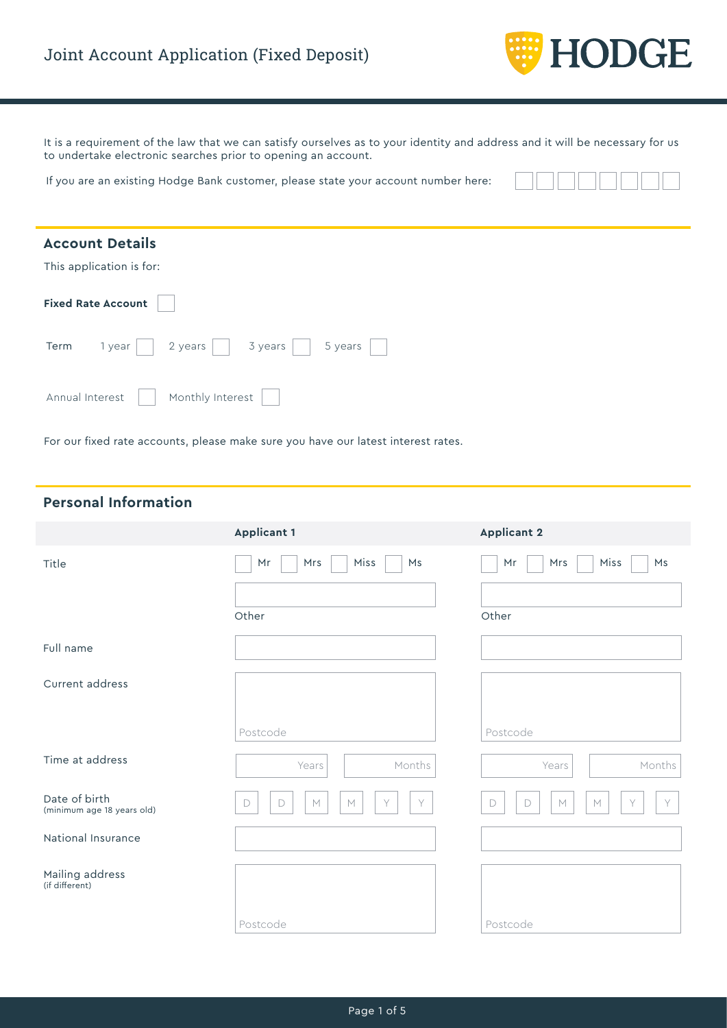

It is a requirement of the law that we can satisfy ourselves as to your identity and address and it will be necessary for us to undertake electronic searches prior to opening an account.

If you are an existing Hodge Bank customer, please state your account number here:

| <b>Account Details</b>                          |
|-------------------------------------------------|
| This application is for:                        |
| <b>Fixed Rate Account</b>                       |
| 3 years<br>2 years<br>5 years<br>Term<br>1 year |
| Monthly Interest<br>Annual Interest             |

For our fixed rate accounts, please make sure you have our latest interest rates.

# **Personal Information**

|                                             | <b>Applicant 1</b>                        | <b>Applicant 2</b>                   |
|---------------------------------------------|-------------------------------------------|--------------------------------------|
| Title                                       | Miss<br>Ms<br>Mrs<br>Mr                   | Miss<br>Ms<br>Mr<br>Mrs              |
|                                             | Other                                     | Other                                |
| Full name                                   |                                           |                                      |
| Current address                             |                                           |                                      |
|                                             | Postcode                                  | Postcode                             |
| Time at address                             | Months<br>Years                           | Months<br>Years                      |
| Date of birth<br>(minimum age 18 years old) | Y<br>Y<br>М<br>$\mathbb M$<br>$\Box$<br>D | Y<br>M<br>Y<br>$\Box$<br>$\Box$<br>M |
| National Insurance                          |                                           |                                      |
| Mailing address<br>(if different)           |                                           |                                      |
|                                             | Postcode                                  | Postcode                             |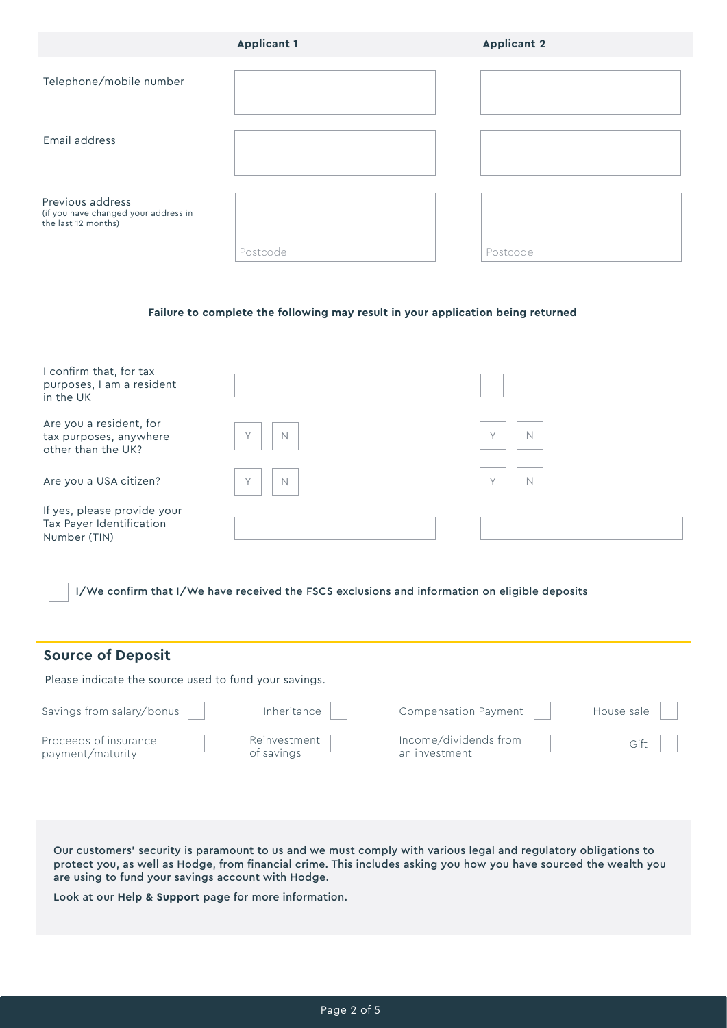|                                                                                 | <b>Applicant 1</b> | <b>Applicant 2</b> |
|---------------------------------------------------------------------------------|--------------------|--------------------|
| Telephone/mobile number                                                         |                    |                    |
| Email address                                                                   |                    |                    |
| Previous address<br>(if you have changed your address in<br>the last 12 months) | Postcode           | Postcode           |

#### **Failure to complete the following may result in your application being returned**

| I confirm that, for tax<br>purposes, I am a resident<br>in the UK       |                       |             |
|-------------------------------------------------------------------------|-----------------------|-------------|
| Are you a resident, for<br>tax purposes, anywhere<br>other than the UK? | $\mathbb N$<br>$\vee$ | N<br>$\vee$ |
| Are you a USA citizen?                                                  | $\vee$<br>$\mathbb N$ | N<br>$\vee$ |
| If yes, please provide your<br>Tax Payer Identification<br>Number (TIN) |                       |             |

I/We confirm that I/We have received the FSCS exclusions and information on eligible deposits

| <b>Source of Deposit</b>                              |                            |                                        |            |
|-------------------------------------------------------|----------------------------|----------------------------------------|------------|
| Please indicate the source used to fund your savings. |                            |                                        |            |
| Savings from salary/bonus                             | Inheritance                | Compensation Payment                   | House sale |
| Proceeds of insurance<br>payment/maturity             | Reinvestment<br>of savings | Income/dividends from<br>an investment | Gift       |

Our customers' security is paramount to us and we must comply with various legal and regulatory obligations to protect you, as well as Hodge, from financial crime. This includes asking you how you have sourced the wealth you are using to fund your savings account with Hodge.

Look at our **Help & Support** page for more information.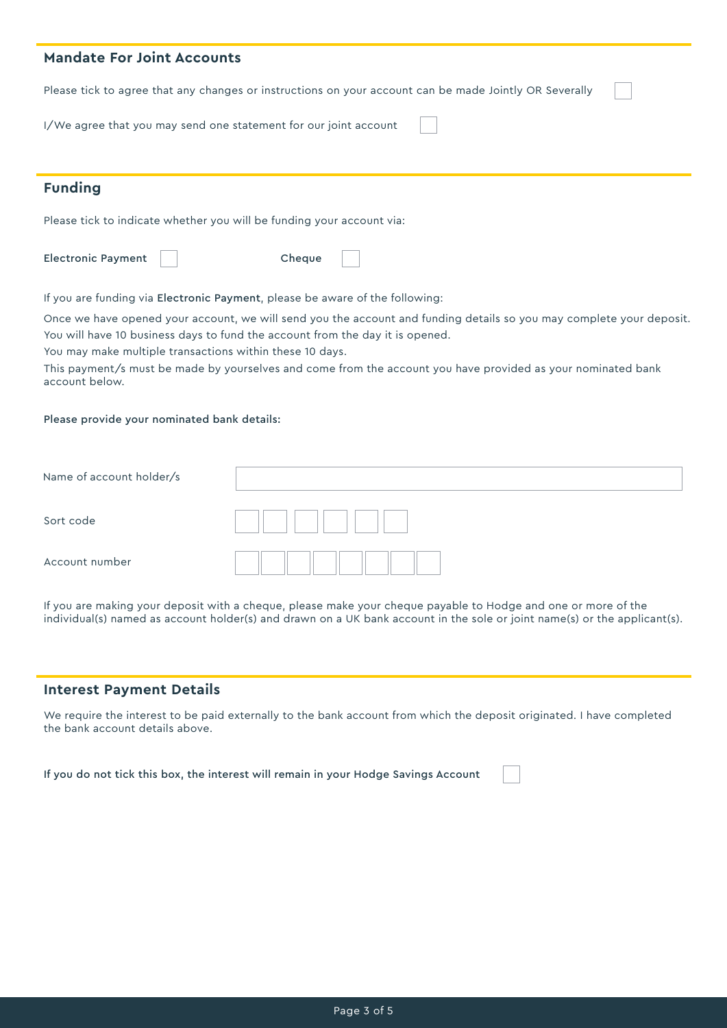| <b>Mandate For Joint Accounts</b>                                                                      |  |  |
|--------------------------------------------------------------------------------------------------------|--|--|
| Please tick to agree that any changes or instructions on your account can be made Jointly OR Severally |  |  |
| I/We agree that you may send one statement for our joint account                                       |  |  |
|                                                                                                        |  |  |
| <b>Funding</b>                                                                                         |  |  |
| Please tick to indicate whether you will be funding your account via:                                  |  |  |
| <b>Electronic Payment</b><br>Cheque                                                                    |  |  |

If you are funding via Electronic Payment, please be aware of the following:

Once we have opened your account, we will send you the account and funding details so you may complete your deposit. You will have 10 business days to fund the account from the day it is opened.

You may make multiple transactions within these 10 days.

This payment/s must be made by yourselves and come from the account you have provided as your nominated bank account below.

#### Please provide your nominated bank details:

| Name of account holder/s |  |
|--------------------------|--|
| Sort code                |  |
| Account number           |  |

If you are making your deposit with a cheque, please make your cheque payable to Hodge and one or more of the individual(s) named as account holder(s) and drawn on a UK bank account in the sole or joint name(s) or the applicant(s).

### **Interest Payment Details**

We require the interest to be paid externally to the bank account from which the deposit originated. I have completed the bank account details above.

If you do not tick this box, the interest will remain in your Hodge Savings Account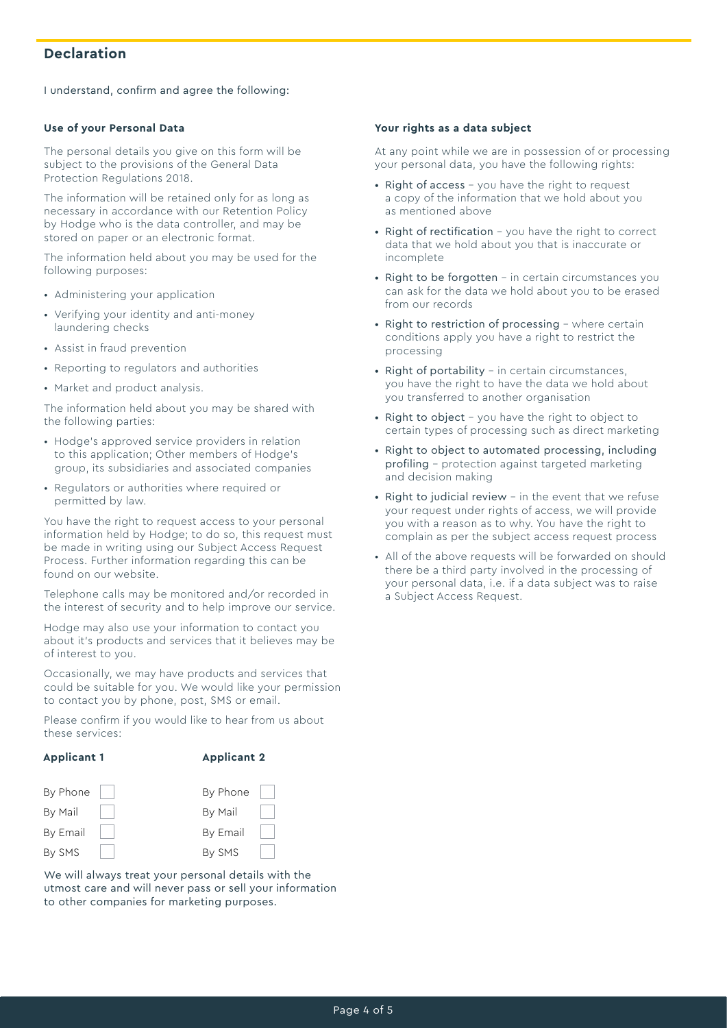# **Declaration**

I understand, confirm and agree the following:

#### **Use of your Personal Data**

The personal details you give on this form will be subject to the provisions of the General Data Protection Regulations 2018.

The information will be retained only for as long as necessary in accordance with our Retention Policy by Hodge who is the data controller, and may be stored on paper or an electronic format.

The information held about you may be used for the following purposes:

- Administering your application
- Verifying your identity and anti-money laundering checks
- Assist in fraud prevention
- Reporting to regulators and authorities
- Market and product analysis.

The information held about you may be shared with the following parties:

- Hodge's approved service providers in relation to this application; Other members of Hodge's group, its subsidiaries and associated companies
- Regulators or authorities where required or permitted by law.

You have the right to request access to your personal information held by Hodge; to do so, this request must be made in writing using our Subject Access Request Process. Further information regarding this can be found on our website.

Telephone calls may be monitored and/or recorded in the interest of security and to help improve our service.

Hodge may also use your information to contact you about it's products and services that it believes may be of interest to you.

Occasionally, we may have products and services that could be suitable for you. We would like your permission to contact you by phone, post, SMS or email.

Please confirm if you would like to hear from us about these services:

#### **Applicant 1**

#### **Applicant 2**



We will always treat your personal details with the utmost care and will never pass or sell your information to other companies for marketing purposes.

#### **Your rights as a data subject**

At any point while we are in possession of or processing your personal data, you have the following rights:

- Right of access you have the right to request a copy of the information that we hold about you as mentioned above
- Right of rectification you have the right to correct data that we hold about you that is inaccurate or incomplete
- Right to be forgotten in certain circumstances you can ask for the data we hold about you to be erased from our records
- Right to restriction of processing where certain conditions apply you have a right to restrict the processing
- Right of portability in certain circumstances, you have the right to have the data we hold about you transferred to another organisation
- Right to object you have the right to object to certain types of processing such as direct marketing
- Right to object to automated processing, including profiling – protection against targeted marketing and decision making
- Right to judicial review in the event that we refuse your request under rights of access, we will provide you with a reason as to why. You have the right to complain as per the subject access request process
- All of the above requests will be forwarded on should there be a third party involved in the processing of your personal data, i.e. if a data subject was to raise a Subject Access Request.